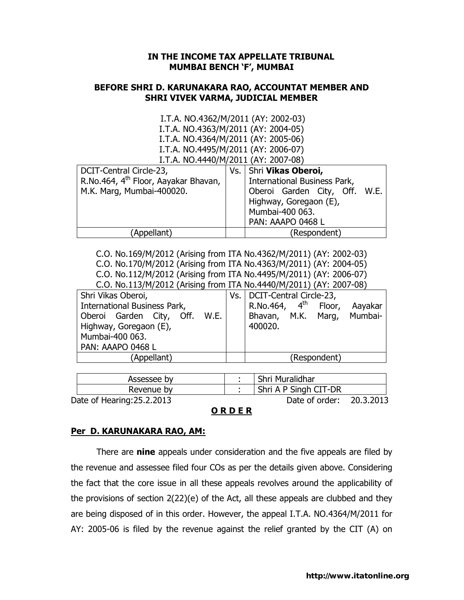## IN THE INCOME TAX APPELLATE TRIBUNAL MUMBAI BENCH 'F', MUMBAI

## BEFORE SHRI D. KARUNAKARA RAO, ACCOUNTAT MEMBER AND SHRI VIVEK VARMA, JUDICIAL MEMBER

 I.T.A. NO.4362/M/2011 (AY: 2002-03) I.T.A. NO.4363/M/2011 (AY: 2004-05) I.T.A. NO.4364/M/2011 (AY: 2005-06) I.T.A. NO.4495/M/2011 (AY: 2006-07) I.T.A. NO.4440/M/2011 (AY: 2007-08)

| DCIT-Central Circle-23,                          |  | Vs.   Shri Vikas Oberoi,      |  |  |
|--------------------------------------------------|--|-------------------------------|--|--|
| R.No.464, 4 <sup>th</sup> Floor, Aayakar Bhavan, |  | International Business Park,  |  |  |
| M.K. Marg, Mumbai-400020.                        |  | Oberoi Garden City, Off. W.E. |  |  |
|                                                  |  | Highway, Goregaon (E),        |  |  |
|                                                  |  | Mumbai-400 063.               |  |  |
|                                                  |  | PAN: AAAPO 0468 L             |  |  |
| (Appellant)                                      |  | (Respondent)                  |  |  |

C.O. No.169/M/2012 (Arising from ITA No.4362/M/2011) (AY: 2002-03) C.O. No.170/M/2012 (Arising from ITA No.4363/M/2011) (AY: 2004-05) C.O. No.112/M/2012 (Arising from ITA No.4495/M/2011) (AY: 2006-07)

C.O. No.113/M/2012 (Arising from ITA No.4440/M/2011) (AY: 2007-08)

| Shri Vikas Oberoi,            | Vs.   DCIT-Central Circle-23,                               |  |  |
|-------------------------------|-------------------------------------------------------------|--|--|
| International Business Park,  | $\vert$ R.No.464, $\vert$ 4 <sup>th</sup> Floor,<br>Aayakar |  |  |
| Oberoi Garden City, Off. W.E. | Bhavan, M.K. Marg, Mumbai-                                  |  |  |
| Highway, Goregaon (E),        | 400020.                                                     |  |  |
| Mumbai-400 063.               |                                                             |  |  |
| PAN: AAAPO 0468 L             |                                                             |  |  |
| (Appellant)                   | (Respondent)                                                |  |  |

| Date of order: | 20.3.2013                                |
|----------------|------------------------------------------|
|                | Shri Muralidhar<br>Shri A P Singh CIT-DR |

# O R D E R

## Per D. KARUNAKARA RAO, AM:

There are **nine** appeals under consideration and the five appeals are filed by the revenue and assessee filed four COs as per the details given above. Considering the fact that the core issue in all these appeals revolves around the applicability of the provisions of section 2(22)(e) of the Act, all these appeals are clubbed and they are being disposed of in this order. However, the appeal I.T.A. NO.4364/M/2011 for AY: 2005-06 is filed by the revenue against the relief granted by the CIT (A) on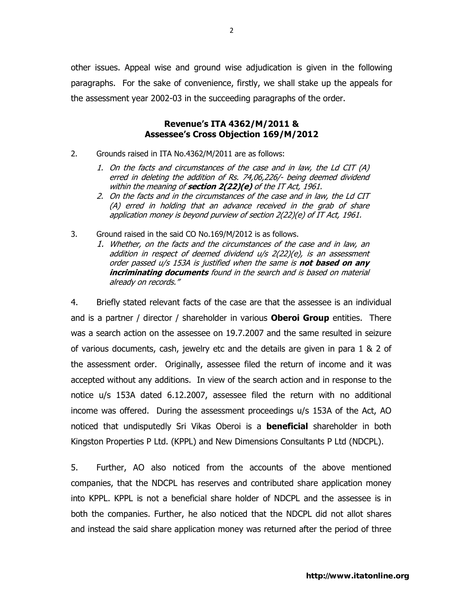other issues. Appeal wise and ground wise adjudication is given in the following paragraphs. For the sake of convenience, firstly, we shall stake up the appeals for the assessment year 2002-03 in the succeeding paragraphs of the order.

## Revenue's ITA 4362/M/2011 & Assessee's Cross Objection 169/M/2012

2. Grounds raised in ITA No.4362/M/2011 are as follows:

- 1. On the facts and circumstances of the case and in law, the Ld CIT (A) erred in deleting the addition of Rs. 74,06,226/- being deemed dividend within the meaning of section  $2(22)(e)$  of the IT Act, 1961.
- 2. On the facts and in the circumstances of the case and in law, the Ld CIT (A) erred in holding that an advance received in the grab of share application money is beyond purview of section 2(22)(e) of IT Act, 1961.
- 3. Ground raised in the said CO No.169/M/2012 is as follows.
	- 1. Whether, on the facts and the circumstances of the case and in law, an addition in respect of deemed dividend u/s 2(22)(e), is an assessment order passed u/s 153A is justified when the same is **not based on any** incriminating documents found in the search and is based on material already on records."

4. Briefly stated relevant facts of the case are that the assessee is an individual and is a partner / director / shareholder in various **Oberoi Group** entities. There was a search action on the assessee on 19.7.2007 and the same resulted in seizure of various documents, cash, jewelry etc and the details are given in para 1 & 2 of the assessment order. Originally, assessee filed the return of income and it was accepted without any additions. In view of the search action and in response to the notice u/s 153A dated 6.12.2007, assessee filed the return with no additional income was offered. During the assessment proceedings u/s 153A of the Act, AO noticed that undisputedly Sri Vikas Oberoi is a **beneficial** shareholder in both Kingston Properties P Ltd. (KPPL) and New Dimensions Consultants P Ltd (NDCPL).

5. Further, AO also noticed from the accounts of the above mentioned companies, that the NDCPL has reserves and contributed share application money into KPPL. KPPL is not a beneficial share holder of NDCPL and the assessee is in both the companies. Further, he also noticed that the NDCPL did not allot shares and instead the said share application money was returned after the period of three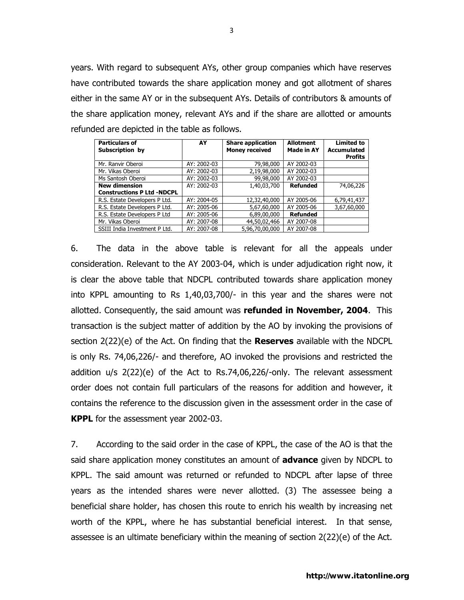years. With regard to subsequent AYs, other group companies which have reserves have contributed towards the share application money and got allotment of shares either in the same AY or in the subsequent AYs. Details of contributors & amounts of the share application money, relevant AYs and if the share are allotted or amounts refunded are depicted in the table as follows.

| <b>Particulars of</b><br>Subscription by | AY          | <b>Share application</b><br><b>Money received</b> | <b>Allotment</b><br><b>Made in AY</b> | <b>Limited to</b><br><b>Accumulated</b><br><b>Profits</b> |
|------------------------------------------|-------------|---------------------------------------------------|---------------------------------------|-----------------------------------------------------------|
| Mr. Ranvir Oberoi                        | AY: 2002-03 | 79,98,000                                         | AY 2002-03                            |                                                           |
| Mr. Vikas Oberoi                         | AY: 2002-03 | 2,19,98,000                                       | AY 2002-03                            |                                                           |
| Ms Santosh Oberoi                        | AY: 2002-03 | 99,98,000                                         | AY 2002-03                            |                                                           |
| <b>New dimension</b>                     | AY: 2002-03 | 1,40,03,700                                       | <b>Refunded</b>                       | 74,06,226                                                 |
| <b>Constructions P Ltd -NDCPL</b>        |             |                                                   |                                       |                                                           |
| R.S. Estate Developers P Ltd.            | AY: 2004-05 | 12,32,40,000                                      | AY 2005-06                            | 6,79,41,437                                               |
| R.S. Estate Developers P Ltd.            | AY: 2005-06 | 5,67,60,000                                       | AY 2005-06                            | 3,67,60,000                                               |
| R.S. Estate Developers P Ltd             | AY: 2005-06 | 6,89,00,000                                       | <b>Refunded</b>                       |                                                           |
| Mr. Vikas Oberoi                         | AY: 2007-08 | 44,50,02,466                                      | AY 2007-08                            |                                                           |
| SSIII India Investment P Ltd.            | AY: 2007-08 | 5,96,70,00,000                                    | AY 2007-08                            |                                                           |

6. The data in the above table is relevant for all the appeals under consideration. Relevant to the AY 2003-04, which is under adjudication right now, it is clear the above table that NDCPL contributed towards share application money into KPPL amounting to Rs 1,40,03,700/- in this year and the shares were not allotted. Consequently, the said amount was refunded in November, 2004. This transaction is the subject matter of addition by the AO by invoking the provisions of section  $2(22)(e)$  of the Act. On finding that the Reserves available with the NDCPL is only Rs. 74,06,226/- and therefore, AO invoked the provisions and restricted the addition u/s 2(22)(e) of the Act to Rs.74,06,226/-only. The relevant assessment order does not contain full particulars of the reasons for addition and however, it contains the reference to the discussion given in the assessment order in the case of **KPPL** for the assessment year 2002-03.

7. According to the said order in the case of KPPL, the case of the AO is that the said share application money constitutes an amount of **advance** given by NDCPL to KPPL. The said amount was returned or refunded to NDCPL after lapse of three years as the intended shares were never allotted. (3) The assessee being a beneficial share holder, has chosen this route to enrich his wealth by increasing net worth of the KPPL, where he has substantial beneficial interest. In that sense, assessee is an ultimate beneficiary within the meaning of section 2(22)(e) of the Act.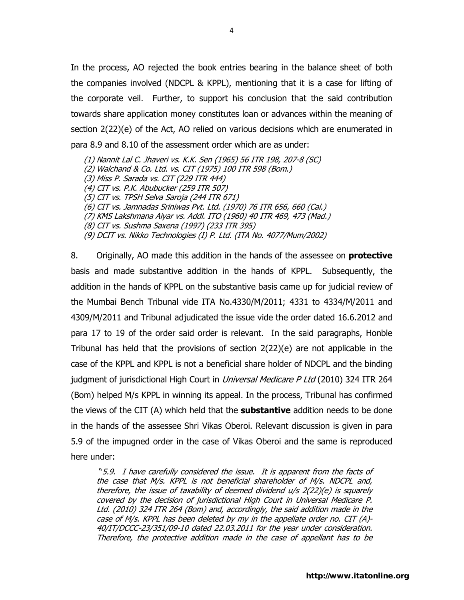In the process, AO rejected the book entries bearing in the balance sheet of both the companies involved (NDCPL & KPPL), mentioning that it is a case for lifting of the corporate veil. Further, to support his conclusion that the said contribution towards share application money constitutes loan or advances within the meaning of section 2(22)(e) of the Act, AO relied on various decisions which are enumerated in para 8.9 and 8.10 of the assessment order which are as under:

(1) Nannit Lal C. Jhaveri vs. K.K. Sen (1965) 56 ITR 198, 207-8 (SC) (2) Walchand & Co. Ltd. vs. CIT (1975) 100 ITR 598 (Bom.) (3) Miss P. Sarada vs. CIT (229 ITR 444) (4) CIT vs. P.K. Abubucker (259 ITR 507) (5) CIT vs. TPSH Selva Saroja (244 ITR 671) (6) CIT vs. Jamnadas Sriniwas Pvt. Ltd. (1970) 76 ITR 656, 660 (Cal.) (7) KMS Lakshmana Aiyar vs. Addl. ITO (1960) 40 ITR 469, 473 (Mad.) (8) CIT vs. Sushma Saxena (1997) (233 ITR 395) (9) DCIT vs. Nikko Technologies (I) P. Ltd. (ITA No. 4077/Mum/2002)

8. Originally, AO made this addition in the hands of the assessee on **protective** basis and made substantive addition in the hands of KPPL. Subsequently, the addition in the hands of KPPL on the substantive basis came up for judicial review of the Mumbai Bench Tribunal vide ITA No.4330/M/2011; 4331 to 4334/M/2011 and 4309/M/2011 and Tribunal adjudicated the issue vide the order dated 16.6.2012 and para 17 to 19 of the order said order is relevant. In the said paragraphs, Honble Tribunal has held that the provisions of section 2(22)(e) are not applicable in the case of the KPPL and KPPL is not a beneficial share holder of NDCPL and the binding judgment of jurisdictional High Court in *Universal Medicare P Ltd* (2010) 324 ITR 264 (Bom) helped M/s KPPL in winning its appeal. In the process, Tribunal has confirmed the views of the CIT (A) which held that the **substantive** addition needs to be done in the hands of the assessee Shri Vikas Oberoi. Relevant discussion is given in para 5.9 of the impugned order in the case of Vikas Oberoi and the same is reproduced here under:

 "5.9. I have carefully considered the issue. It is apparent from the facts of the case that M/s. KPPL is not beneficial shareholder of M/s. NDCPL and, therefore, the issue of taxability of deemed dividend u/s 2(22)(e) is squarely covered by the decision of jurisdictional High Court in Universal Medicare P. Ltd. (2010) 324 ITR 264 (Bom) and, accordingly, the said addition made in the case of M/s. KPPL has been deleted by my in the appellate order no. CIT (A)-40/IT/DCCC-23/351/09-10 dated 22.03.2011 for the year under consideration. Therefore, the protective addition made in the case of appellant has to be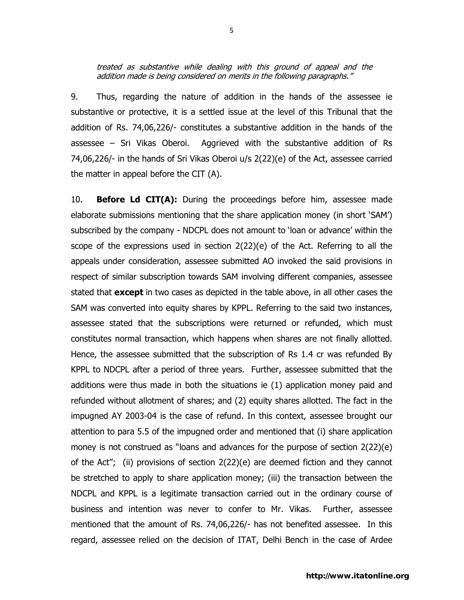9. Thus, regarding the nature of addition in the hands of the assessee ie substantive or protective, it is a settled issue at the level of this Tribunal that the addition of Rs. 74,06,226/- constitutes a substantive addition in the hands of the assessee – Sri Vikas Oberoi. Aggrieved with the substantive addition of Rs 74,06,226/- in the hands of Sri Vikas Oberoi u/s 2(22)(e) of the Act, assessee carried the matter in appeal before the CIT (A).

10. **Before Ld CIT(A):** During the proceedings before him, assessee made elaborate submissions mentioning that the share application money (in short 'SAM') subscribed by the company - NDCPL does not amount to 'loan or advance' within the scope of the expressions used in section 2(22)(e) of the Act. Referring to all the appeals under consideration, assessee submitted AO invoked the said provisions in respect of similar subscription towards SAM involving different companies, assessee stated that **except** in two cases as depicted in the table above, in all other cases the SAM was converted into equity shares by KPPL. Referring to the said two instances, assessee stated that the subscriptions were returned or refunded, which must constitutes normal transaction, which happens when shares are not finally allotted. Hence, the assessee submitted that the subscription of Rs 1.4 cr was refunded By KPPL to NDCPL after a period of three years. Further, assessee submitted that the additions were thus made in both the situations ie (1) application money paid and refunded without allotment of shares; and (2) equity shares allotted. The fact in the impugned AY 2003-04 is the case of refund. In this context, assessee brought our attention to para 5.5 of the impugned order and mentioned that (i) share application money is not construed as "loans and advances for the purpose of section 2(22)(e) of the Act"; (ii) provisions of section 2(22)(e) are deemed fiction and they cannot be stretched to apply to share application money; (iii) the transaction between the NDCPL and KPPL is a legitimate transaction carried out in the ordinary course of business and intention was never to confer to Mr. Vikas. Further, assessee mentioned that the amount of Rs. 74,06,226/- has not benefited assessee. In this regard, assessee relied on the decision of ITAT, Delhi Bench in the case of Ardee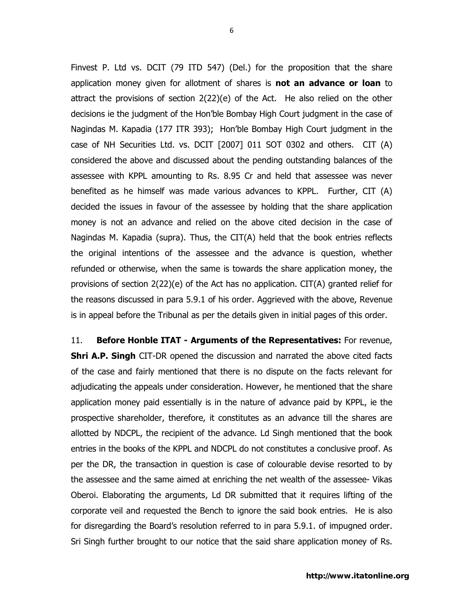Finvest P. Ltd vs. DCIT (79 ITD 547) (Del.) for the proposition that the share application money given for allotment of shares is not an advance or loan to attract the provisions of section 2(22)(e) of the Act. He also relied on the other decisions ie the judgment of the Hon'ble Bombay High Court judgment in the case of Nagindas M. Kapadia (177 ITR 393); Hon'ble Bombay High Court judgment in the case of NH Securities Ltd. vs. DCIT [2007] 011 SOT 0302 and others. CIT (A) considered the above and discussed about the pending outstanding balances of the assessee with KPPL amounting to Rs. 8.95 Cr and held that assessee was never benefited as he himself was made various advances to KPPL. Further, CIT (A) decided the issues in favour of the assessee by holding that the share application money is not an advance and relied on the above cited decision in the case of Nagindas M. Kapadia (supra). Thus, the CIT(A) held that the book entries reflects the original intentions of the assessee and the advance is question, whether refunded or otherwise, when the same is towards the share application money, the provisions of section  $2(22)(e)$  of the Act has no application. CIT(A) granted relief for the reasons discussed in para 5.9.1 of his order. Aggrieved with the above, Revenue is in appeal before the Tribunal as per the details given in initial pages of this order.

11. Before Honble ITAT - Arguments of the Representatives: For revenue, **Shri A.P. Singh** CIT-DR opened the discussion and narrated the above cited facts of the case and fairly mentioned that there is no dispute on the facts relevant for adjudicating the appeals under consideration. However, he mentioned that the share application money paid essentially is in the nature of advance paid by KPPL, ie the prospective shareholder, therefore, it constitutes as an advance till the shares are allotted by NDCPL, the recipient of the advance. Ld Singh mentioned that the book entries in the books of the KPPL and NDCPL do not constitutes a conclusive proof. As per the DR, the transaction in question is case of colourable devise resorted to by the assessee and the same aimed at enriching the net wealth of the assessee- Vikas Oberoi. Elaborating the arguments, Ld DR submitted that it requires lifting of the corporate veil and requested the Bench to ignore the said book entries. He is also for disregarding the Board's resolution referred to in para 5.9.1. of impugned order. Sri Singh further brought to our notice that the said share application money of Rs.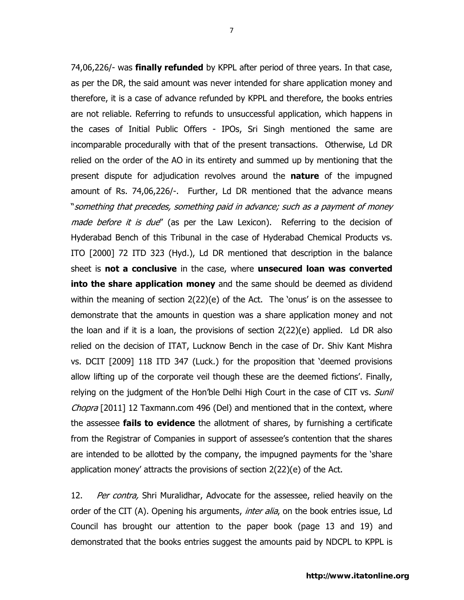74,06,226/- was **finally refunded** by KPPL after period of three years. In that case, as per the DR, the said amount was never intended for share application money and therefore, it is a case of advance refunded by KPPL and therefore, the books entries are not reliable. Referring to refunds to unsuccessful application, which happens in the cases of Initial Public Offers - IPOs, Sri Singh mentioned the same are incomparable procedurally with that of the present transactions. Otherwise, Ld DR relied on the order of the AO in its entirety and summed up by mentioning that the present dispute for adjudication revolves around the **nature** of the impugned amount of Rs. 74,06,226/-. Further, Ld DR mentioned that the advance means "something that precedes, something paid in advance; such as a payment of money made before it is due" (as per the Law Lexicon). Referring to the decision of Hyderabad Bench of this Tribunal in the case of Hyderabad Chemical Products vs. ITO [2000] 72 ITD 323 (Hyd.), Ld DR mentioned that description in the balance sheet is not a conclusive in the case, where unsecured loan was converted into the share application money and the same should be deemed as dividend within the meaning of section 2(22)(e) of the Act. The 'onus' is on the assessee to demonstrate that the amounts in question was a share application money and not the loan and if it is a loan, the provisions of section 2(22)(e) applied. Ld DR also relied on the decision of ITAT, Lucknow Bench in the case of Dr. Shiv Kant Mishra vs. DCIT [2009] 118 ITD 347 (Luck.) for the proposition that 'deemed provisions allow lifting up of the corporate veil though these are the deemed fictions'. Finally, relying on the judgment of the Hon'ble Delhi High Court in the case of CIT vs. *Sunil* Chopra [2011] 12 Taxmann.com 496 (Del) and mentioned that in the context, where the assessee **fails to evidence** the allotment of shares, by furnishing a certificate from the Registrar of Companies in support of assessee's contention that the shares are intended to be allotted by the company, the impugned payments for the 'share application money' attracts the provisions of section 2(22)(e) of the Act.

12. Per contra, Shri Muralidhar, Advocate for the assessee, relied heavily on the order of the CIT (A). Opening his arguments, *inter alia*, on the book entries issue, Ld Council has brought our attention to the paper book (page 13 and 19) and demonstrated that the books entries suggest the amounts paid by NDCPL to KPPL is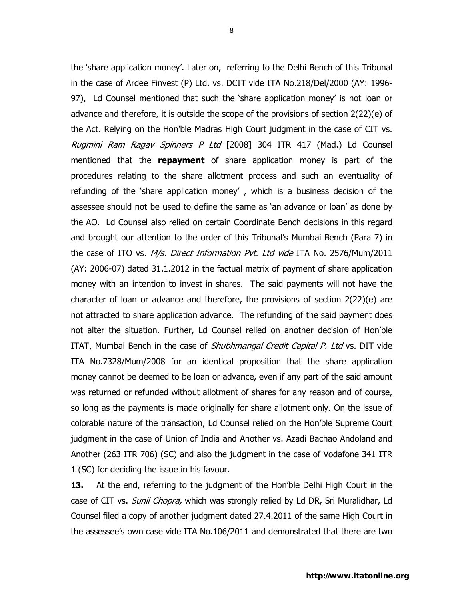the 'share application money'. Later on, referring to the Delhi Bench of this Tribunal in the case of Ardee Finvest (P) Ltd. vs. DCIT vide ITA No.218/Del/2000 (AY: 1996- 97), Ld Counsel mentioned that such the 'share application money' is not loan or advance and therefore, it is outside the scope of the provisions of section 2(22)(e) of the Act. Relying on the Hon'ble Madras High Court judgment in the case of CIT vs. Rugmini Ram Ragav Spinners P Ltd [2008] 304 ITR 417 (Mad.) Ld Counsel mentioned that the repayment of share application money is part of the procedures relating to the share allotment process and such an eventuality of refunding of the 'share application money' , which is a business decision of the assessee should not be used to define the same as 'an advance or loan' as done by the AO. Ld Counsel also relied on certain Coordinate Bench decisions in this regard and brought our attention to the order of this Tribunal's Mumbai Bench (Para 7) in the case of ITO vs. *M/s. Direct Information Pvt. Ltd vide* ITA No. 2576/Mum/2011 (AY: 2006-07) dated 31.1.2012 in the factual matrix of payment of share application money with an intention to invest in shares. The said payments will not have the character of loan or advance and therefore, the provisions of section 2(22)(e) are not attracted to share application advance. The refunding of the said payment does not alter the situation. Further, Ld Counsel relied on another decision of Hon'ble ITAT, Mumbai Bench in the case of Shubhmangal Credit Capital P. Ltd vs. DIT vide ITA No.7328/Mum/2008 for an identical proposition that the share application money cannot be deemed to be loan or advance, even if any part of the said amount was returned or refunded without allotment of shares for any reason and of course, so long as the payments is made originally for share allotment only. On the issue of colorable nature of the transaction, Ld Counsel relied on the Hon'ble Supreme Court judgment in the case of Union of India and Another vs. Azadi Bachao Andoland and Another (263 ITR 706) (SC) and also the judgment in the case of Vodafone 341 ITR 1 (SC) for deciding the issue in his favour.

13. At the end, referring to the judgment of the Hon'ble Delhi High Court in the case of CIT vs. *Sunil Chopra,* which was strongly relied by Ld DR, Sri Muralidhar, Ld Counsel filed a copy of another judgment dated 27.4.2011 of the same High Court in the assessee's own case vide ITA No.106/2011 and demonstrated that there are two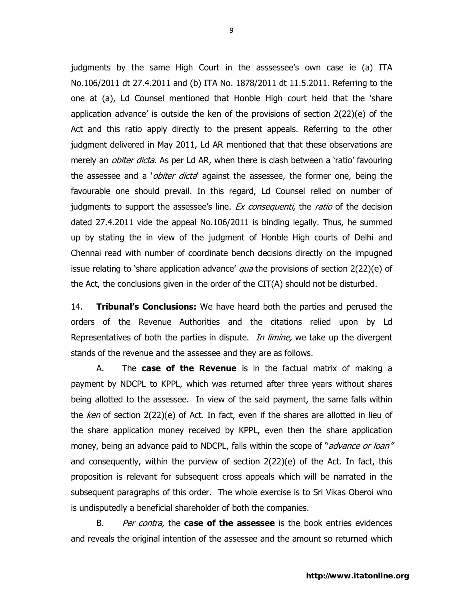judgments by the same High Court in the asssessee's own case ie (a) ITA No.106/2011 dt 27.4.2011 and (b) ITA No. 1878/2011 dt 11.5.2011. Referring to the one at (a), Ld Counsel mentioned that Honble High court held that the 'share application advance' is outside the ken of the provisions of section 2(22)(e) of the Act and this ratio apply directly to the present appeals. Referring to the other judgment delivered in May 2011, Ld AR mentioned that that these observations are merely an *obiter dicta.* As per Ld AR, when there is clash between a 'ratio' favouring the assessee and a '*obiter dicta'* against the assessee, the former one, being the favourable one should prevail. In this regard, Ld Counsel relied on number of judgments to support the assessee's line. *Ex consequenti*, the *ratio* of the decision dated 27.4.2011 vide the appeal No.106/2011 is binding legally. Thus, he summed up by stating the in view of the judgment of Honble High courts of Delhi and Chennai read with number of coordinate bench decisions directly on the impugned issue relating to 'share application advance'  $qua$  the provisions of section  $2(22)(e)$  of the Act, the conclusions given in the order of the CIT(A) should not be disturbed.

14. Tribunal's Conclusions: We have heard both the parties and perused the orders of the Revenue Authorities and the citations relied upon by Ld Representatives of both the parties in dispute. *In limine*, we take up the divergent stands of the revenue and the assessee and they are as follows.

A. The **case of the Revenue** is in the factual matrix of making a payment by NDCPL to KPPL, which was returned after three years without shares being allotted to the assessee. In view of the said payment, the same falls within the ken of section  $2(22)(e)$  of Act. In fact, even if the shares are allotted in lieu of the share application money received by KPPL, even then the share application money, being an advance paid to NDCPL, falls within the scope of "*advance or loan"* and consequently, within the purview of section 2(22)(e) of the Act. In fact, this proposition is relevant for subsequent cross appeals which will be narrated in the subsequent paragraphs of this order. The whole exercise is to Sri Vikas Oberoi who is undisputedly a beneficial shareholder of both the companies.

B. Per contra, the **case of the assessee** is the book entries evidences and reveals the original intention of the assessee and the amount so returned which

9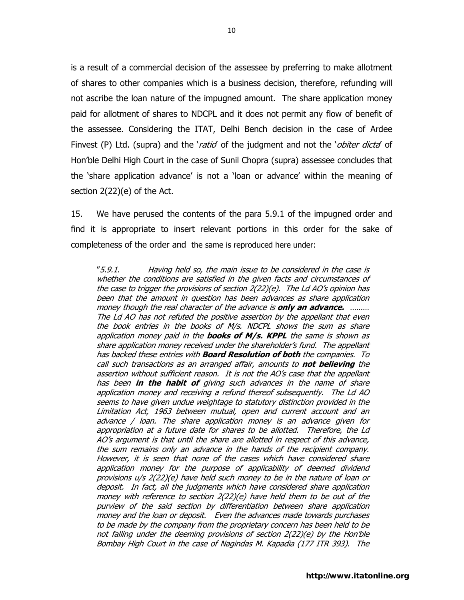is a result of a commercial decision of the assessee by preferring to make allotment of shares to other companies which is a business decision, therefore, refunding will not ascribe the loan nature of the impugned amount. The share application money paid for allotment of shares to NDCPL and it does not permit any flow of benefit of the assessee. Considering the ITAT, Delhi Bench decision in the case of Ardee Finvest (P) Ltd. (supra) and the 'ratio' of the judgment and not the 'obiter dicta' of Hon'ble Delhi High Court in the case of Sunil Chopra (supra) assessee concludes that the 'share application advance' is not a 'loan or advance' within the meaning of section 2(22)(e) of the Act.

15. We have perused the contents of the para 5.9.1 of the impugned order and find it is appropriate to insert relevant portions in this order for the sake of completeness of the order and the same is reproduced here under:

"5.9.1. Having held so, the main issue to be considered in the case is whether the conditions are satisfied in the given facts and circumstances of the case to trigger the provisions of section  $2(22)(e)$ . The Ld AO's opinion has been that the amount in question has been advances as share application money though the real character of the advance is **only an advance.** ……… The Ld AO has not refuted the positive assertion by the appellant that even the book entries in the books of M/s. NDCPL shows the sum as share application money paid in the **books of M/s. KPPL** the same is shown as share application money received under the shareholder's fund. The appellant has backed these entries with **Board Resolution of both** the companies. To call such transactions as an arranged affair, amounts to **not believing** the assertion without sufficient reason. It is not the AO's case that the appellant has been in the habit of giving such advances in the name of share application money and receiving a refund thereof subsequently. The Ld AO seems to have given undue weightage to statutory distinction provided in the Limitation Act, 1963 between mutual, open and current account and an advance / loan. The share application money is an advance given for appropriation at a future date for shares to be allotted. Therefore, the Ld AO's argument is that until the share are allotted in respect of this advance, the sum remains only an advance in the hands of the recipient company. However, it is seen that none of the cases which have considered share application money for the purpose of applicability of deemed dividend provisions u/s 2(22)(e) have held such money to be in the nature of loan or deposit. In fact, all the judgments which have considered share application money with reference to section 2(22)(e) have held them to be out of the purview of the said section by differentiation between share application money and the loan or deposit. Even the advances made towards purchases to be made by the company from the proprietary concern has been held to be not falling under the deeming provisions of section 2(22)(e) by the Hon'ble Bombay High Court in the case of Nagindas M. Kapadia (177 ITR 393). The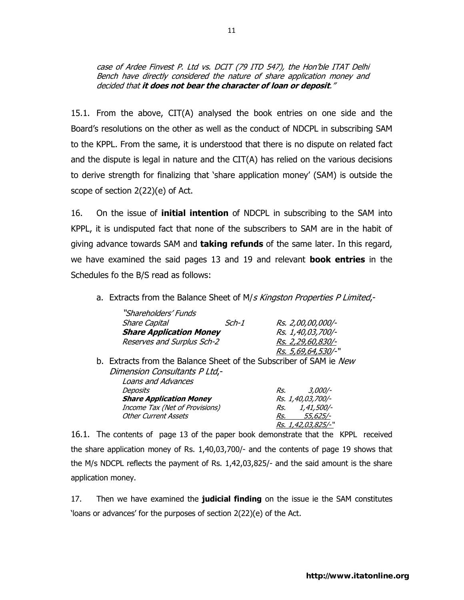case of Ardee Finvest P. Ltd vs. DCIT (79 ITD 547), the Hon'ble ITAT Delhi Bench have directly considered the nature of share application money and decided that it does not bear the character of loan or deposit."

15.1. From the above, CIT(A) analysed the book entries on one side and the Board's resolutions on the other as well as the conduct of NDCPL in subscribing SAM to the KPPL. From the same, it is understood that there is no dispute on related fact and the dispute is legal in nature and the CIT(A) has relied on the various decisions to derive strength for finalizing that 'share application money' (SAM) is outside the scope of section 2(22)(e) of Act.

16. On the issue of **initial intention** of NDCPL in subscribing to the SAM into KPPL, it is undisputed fact that none of the subscribers to SAM are in the habit of giving advance towards SAM and **taking refunds** of the same later. In this regard, we have examined the said pages 13 and 19 and relevant **book entries** in the Schedules fo the B/S read as follows:

a. Extracts from the Balance Sheet of M/s Kingston Properties P Limited,-

| "Shareholders' Funds                                               |       |     |                            |  |
|--------------------------------------------------------------------|-------|-----|----------------------------|--|
| <b>Share Capital</b>                                               | Sch-1 |     | Rs. 2,00,00,000/-          |  |
| <b>Share Application Money</b>                                     |       |     | Rs. 1,40,03,700/-          |  |
| Reserves and Surplus Sch-2                                         |       |     | <u>Rs. 2,29,60,830/-</u>   |  |
|                                                                    |       |     | Rs. 5,69,64,530/-"         |  |
| b. Extracts from the Balance Sheet of the Subscriber of SAM ie New |       |     |                            |  |
| Dimension Consultants P Ltd,-                                      |       |     |                            |  |
| Loans and Advances                                                 |       |     |                            |  |
| Deposits                                                           |       | Rs. | 3,000/-                    |  |
| <b>Share Application Money</b>                                     |       |     | Rs. 1,40,03,700/-          |  |
| Income Tax (Net of Provisions)                                     |       | Rs. | 1,41,500/-                 |  |
| <b>Other Current Assets</b>                                        |       | Rs. | 55,625/-                   |  |
|                                                                    |       |     | <i>Rs. 1,42,03,825/-</i> " |  |

16.1. The contents of page 13 of the paper book demonstrate that the KPPL received the share application money of Rs. 1,40,03,700/- and the contents of page 19 shows that the M/s NDCPL reflects the payment of Rs. 1,42,03,825/- and the said amount is the share application money.

17. Then we have examined the **judicial finding** on the issue ie the SAM constitutes 'loans or advances' for the purposes of section 2(22)(e) of the Act.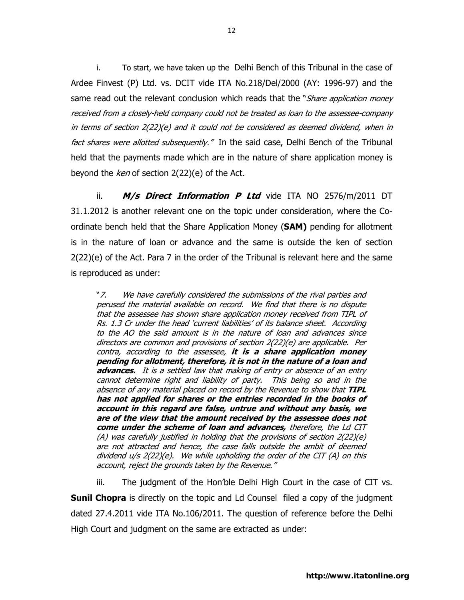i. To start, we have taken up the Delhi Bench of this Tribunal in the case of Ardee Finvest (P) Ltd. vs. DCIT vide ITA No.218/Del/2000 (AY: 1996-97) and the same read out the relevant conclusion which reads that the "*Share application money* received from a closely-held company could not be treated as loan to the assessee-company in terms of section 2(22)(e) and it could not be considered as deemed dividend, when in fact shares were allotted subsequently." In the said case, Delhi Bench of the Tribunal held that the payments made which are in the nature of share application money is beyond the ken of section 2(22)(e) of the Act.

ii.  $M/s$  Direct Information P Ltd vide ITA NO 2576/m/2011 DT 31.1.2012 is another relevant one on the topic under consideration, where the Coordinate bench held that the Share Application Money (SAM) pending for allotment is in the nature of loan or advance and the same is outside the ken of section 2(22)(e) of the Act. Para 7 in the order of the Tribunal is relevant here and the same is reproduced as under:

"7. We have carefully considered the submissions of the rival parties and perused the material available on record. We find that there is no dispute that the assessee has shown share application money received from TIPL of Rs. 1.3 Cr under the head 'current liabilities' of its balance sheet. According to the AO the said amount is in the nature of loan and advances since directors are common and provisions of section 2(22)(e) are applicable. Per contra, according to the assessee, it is a share application money pending for allotment, therefore, it is not in the nature of a loan and advances. It is a settled law that making of entry or absence of an entry cannot determine right and liability of party. This being so and in the absence of any material placed on record by the Revenue to show that TIPL has not applied for shares or the entries recorded in the books of account in this regard are false, untrue and without any basis, we are of the view that the amount received by the assessee does not come under the scheme of loan and advances, therefore, the Ld CIT (A) was carefully justified in holding that the provisions of section 2(22)(e) are not attracted and hence, the case falls outside the ambit of deemed dividend u/s 2(22)(e). We while upholding the order of the CIT (A) on this account, reject the grounds taken by the Revenue."

iii. The judgment of the Hon'ble Delhi High Court in the case of CIT vs. **Sunil Chopra** is directly on the topic and Ld Counsel filed a copy of the judgment dated 27.4.2011 vide ITA No.106/2011. The question of reference before the Delhi High Court and judgment on the same are extracted as under: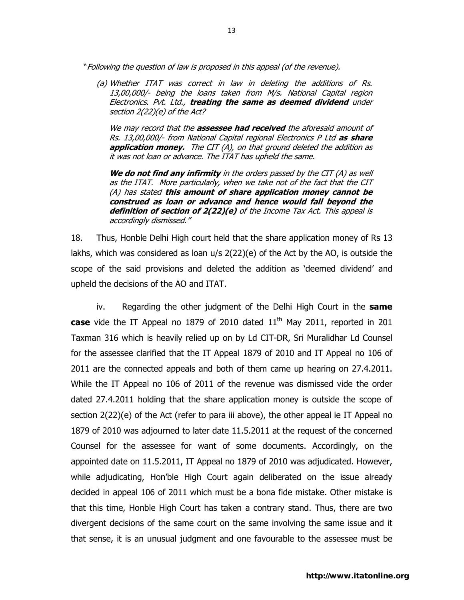"Following the question of law is proposed in this appeal (of the revenue).

(a) Whether ITAT was correct in law in deleting the additions of Rs. 13,00,000/- being the loans taken from M/s. National Capital region Electronics. Pvt. Ltd., treating the same as deemed dividend under section 2(22)(e) of the Act?

We may record that the **assessee had received** the aforesaid amount of Rs. 13,00,000/- from National Capital regional Electronics P Ltd as share application money. The CIT (A), on that ground deleted the addition as it was not loan or advance. The ITAT has upheld the same.

We do not find any infirmity in the orders passed by the CIT  $(A)$  as well as the ITAT. More particularly, when we take not of the fact that the CIT (A) has stated this amount of share application money cannot be construed as loan or advance and hence would fall beyond the definition of section of 2(22)(e) of the Income Tax Act. This appeal is accordingly dismissed."

18. Thus, Honble Delhi High court held that the share application money of Rs 13 lakhs, which was considered as loan u/s 2(22)(e) of the Act by the AO, is outside the scope of the said provisions and deleted the addition as 'deemed dividend' and upheld the decisions of the AO and ITAT.

iv. Regarding the other judgment of the Delhi High Court in the same case vide the IT Appeal no 1879 of 2010 dated  $11<sup>th</sup>$  May 2011, reported in 201 Taxman 316 which is heavily relied up on by Ld CIT-DR, Sri Muralidhar Ld Counsel for the assessee clarified that the IT Appeal 1879 of 2010 and IT Appeal no 106 of 2011 are the connected appeals and both of them came up hearing on 27.4.2011. While the IT Appeal no 106 of 2011 of the revenue was dismissed vide the order dated 27.4.2011 holding that the share application money is outside the scope of section 2(22)(e) of the Act (refer to para iii above), the other appeal ie IT Appeal no 1879 of 2010 was adjourned to later date 11.5.2011 at the request of the concerned Counsel for the assessee for want of some documents. Accordingly, on the appointed date on 11.5.2011, IT Appeal no 1879 of 2010 was adjudicated. However, while adjudicating, Hon'ble High Court again deliberated on the issue already decided in appeal 106 of 2011 which must be a bona fide mistake. Other mistake is that this time, Honble High Court has taken a contrary stand. Thus, there are two divergent decisions of the same court on the same involving the same issue and it that sense, it is an unusual judgment and one favourable to the assessee must be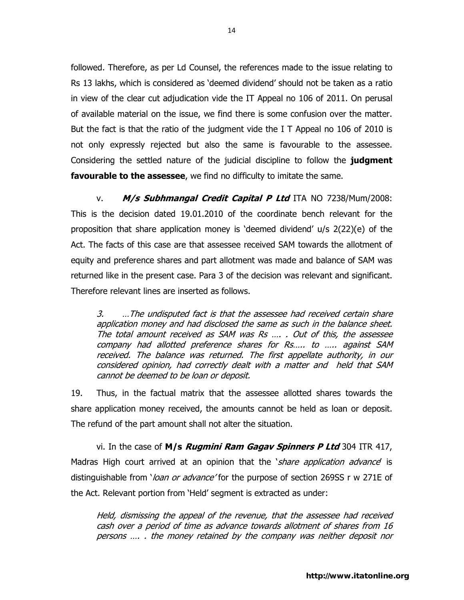followed. Therefore, as per Ld Counsel, the references made to the issue relating to Rs 13 lakhs, which is considered as 'deemed dividend' should not be taken as a ratio in view of the clear cut adjudication vide the IT Appeal no 106 of 2011. On perusal of available material on the issue, we find there is some confusion over the matter. But the fact is that the ratio of the judgment vide the I T Appeal no 106 of 2010 is not only expressly rejected but also the same is favourable to the assessee. Considering the settled nature of the judicial discipline to follow the **judgment favourable to the assessee**, we find no difficulty to imitate the same.

v. M/s Subhmangal Credit Capital P Ltd ITA NO 7238/Mum/2008: This is the decision dated 19.01.2010 of the coordinate bench relevant for the proposition that share application money is 'deemed dividend' u/s 2(22)(e) of the Act. The facts of this case are that assessee received SAM towards the allotment of equity and preference shares and part allotment was made and balance of SAM was returned like in the present case. Para 3 of the decision was relevant and significant. Therefore relevant lines are inserted as follows.

3. …The undisputed fact is that the assessee had received certain share application money and had disclosed the same as such in the balance sheet. The total amount received as SAM was Rs …. . Out of this, the assessee company had allotted preference shares for Rs….. to ….. against SAM received. The balance was returned. The first appellate authority, in our considered opinion, had correctly dealt with a matter and held that SAM cannot be deemed to be loan or deposit.

19. Thus, in the factual matrix that the assessee allotted shares towards the share application money received, the amounts cannot be held as loan or deposit. The refund of the part amount shall not alter the situation.

vi. In the case of  $M/s$  *Rugmini Ram Gagav Spinners P Ltd* 304 ITR 417, Madras High court arrived at an opinion that the *`share application advance*' is distinguishable from '*loan or advance'* for the purpose of section 269SS r w 271E of the Act. Relevant portion from 'Held' segment is extracted as under:

Held, dismissing the appeal of the revenue, that the assessee had received cash over a period of time as advance towards allotment of shares from 16 persons …. . the money retained by the company was neither deposit nor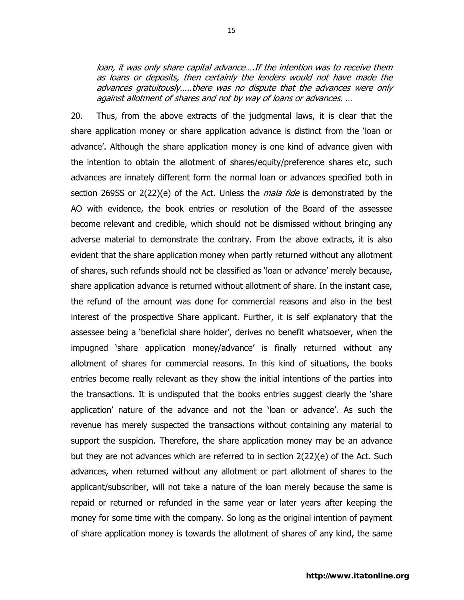loan, it was only share capital advance….If the intention was to receive them as loans or deposits, then certainly the lenders would not have made the advances gratuitously…..there was no dispute that the advances were only against allotment of shares and not by way of loans or advances. …

20. Thus, from the above extracts of the judgmental laws, it is clear that the share application money or share application advance is distinct from the 'loan or advance'. Although the share application money is one kind of advance given with the intention to obtain the allotment of shares/equity/preference shares etc, such advances are innately different form the normal loan or advances specified both in section 269SS or 2(22)(e) of the Act. Unless the *mala fide* is demonstrated by the AO with evidence, the book entries or resolution of the Board of the assessee become relevant and credible, which should not be dismissed without bringing any adverse material to demonstrate the contrary. From the above extracts, it is also evident that the share application money when partly returned without any allotment of shares, such refunds should not be classified as 'loan or advance' merely because, share application advance is returned without allotment of share. In the instant case, the refund of the amount was done for commercial reasons and also in the best interest of the prospective Share applicant. Further, it is self explanatory that the assessee being a 'beneficial share holder', derives no benefit whatsoever, when the impugned 'share application money/advance' is finally returned without any allotment of shares for commercial reasons. In this kind of situations, the books entries become really relevant as they show the initial intentions of the parties into the transactions. It is undisputed that the books entries suggest clearly the 'share application' nature of the advance and not the 'loan or advance'. As such the revenue has merely suspected the transactions without containing any material to support the suspicion. Therefore, the share application money may be an advance but they are not advances which are referred to in section 2(22)(e) of the Act. Such advances, when returned without any allotment or part allotment of shares to the applicant/subscriber, will not take a nature of the loan merely because the same is repaid or returned or refunded in the same year or later years after keeping the money for some time with the company. So long as the original intention of payment of share application money is towards the allotment of shares of any kind, the same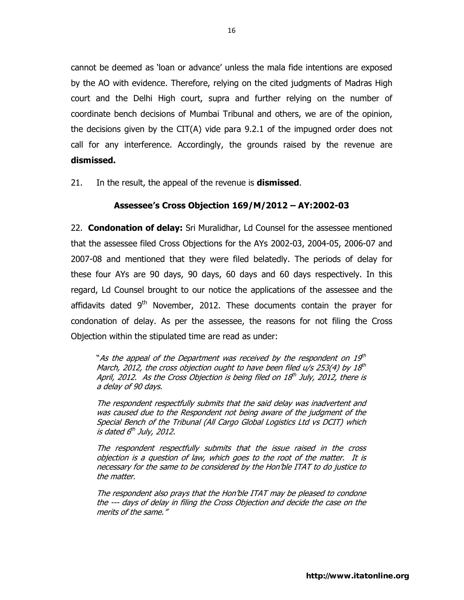cannot be deemed as 'loan or advance' unless the mala fide intentions are exposed by the AO with evidence. Therefore, relying on the cited judgments of Madras High court and the Delhi High court, supra and further relying on the number of coordinate bench decisions of Mumbai Tribunal and others, we are of the opinion, the decisions given by the CIT(A) vide para 9.2.1 of the impugned order does not call for any interference. Accordingly, the grounds raised by the revenue are dismissed.

21. In the result, the appeal of the revenue is **dismissed**.

## Assessee's Cross Objection 169/M/2012 – AY:2002-03

22. **Condonation of delay:** Sri Muralidhar, Ld Counsel for the assessee mentioned that the assessee filed Cross Objections for the AYs 2002-03, 2004-05, 2006-07 and 2007-08 and mentioned that they were filed belatedly. The periods of delay for these four AYs are 90 days, 90 days, 60 days and 60 days respectively. In this regard, Ld Counsel brought to our notice the applications of the assessee and the affidavits dated  $9<sup>th</sup>$  November, 2012. These documents contain the prayer for condonation of delay. As per the assessee, the reasons for not filing the Cross Objection within the stipulated time are read as under:

"As the appeal of the Department was received by the respondent on 19th March, 2012, the cross objection ought to have been filed u/s 253(4) by 18th April, 2012. As the Cross Objection is being filed on 18th July, 2012, there is a delay of 90 days.

The respondent respectfully submits that the said delay was inadvertent and was caused due to the Respondent not being aware of the judgment of the Special Bench of the Tribunal (All Cargo Global Logistics Ltd vs DCIT) which is dated 6<sup>th</sup> July, 2012.

The respondent respectfully submits that the issue raised in the cross objection is a question of law, which goes to the root of the matter. It is necessary for the same to be considered by the Hon'ble ITAT to do justice to the matter.

The respondent also prays that the Hon'ble ITAT may be pleased to condone the --- days of delay in filing the Cross Objection and decide the case on the merits of the same."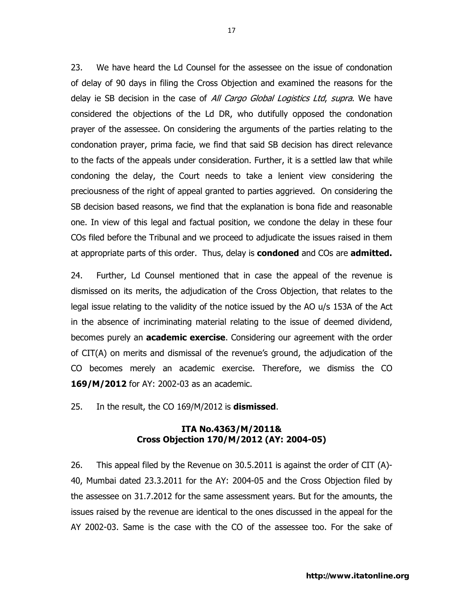23. We have heard the Ld Counsel for the assessee on the issue of condonation of delay of 90 days in filing the Cross Objection and examined the reasons for the delay ie SB decision in the case of All Cargo Global Logistics Ltd, supra. We have considered the objections of the Ld DR, who dutifully opposed the condonation prayer of the assessee. On considering the arguments of the parties relating to the condonation prayer, prima facie, we find that said SB decision has direct relevance to the facts of the appeals under consideration. Further, it is a settled law that while condoning the delay, the Court needs to take a lenient view considering the preciousness of the right of appeal granted to parties aggrieved. On considering the SB decision based reasons, we find that the explanation is bona fide and reasonable one. In view of this legal and factual position, we condone the delay in these four COs filed before the Tribunal and we proceed to adjudicate the issues raised in them at appropriate parts of this order. Thus, delay is **condoned** and COs are **admitted.** 

24. Further, Ld Counsel mentioned that in case the appeal of the revenue is dismissed on its merits, the adjudication of the Cross Objection, that relates to the legal issue relating to the validity of the notice issued by the AO u/s 153A of the Act in the absence of incriminating material relating to the issue of deemed dividend, becomes purely an **academic exercise**. Considering our agreement with the order of CIT(A) on merits and dismissal of the revenue's ground, the adjudication of the CO becomes merely an academic exercise. Therefore, we dismiss the CO 169/M/2012 for AY: 2002-03 as an academic.

25. In the result, the CO 169/M/2012 is **dismissed**.

## ITA No.4363/M/2011& Cross Objection 170/M/2012 (AY: 2004-05)

26. This appeal filed by the Revenue on 30.5.2011 is against the order of CIT (A)- 40, Mumbai dated 23.3.2011 for the AY: 2004-05 and the Cross Objection filed by the assessee on 31.7.2012 for the same assessment years. But for the amounts, the issues raised by the revenue are identical to the ones discussed in the appeal for the AY 2002-03. Same is the case with the CO of the assessee too. For the sake of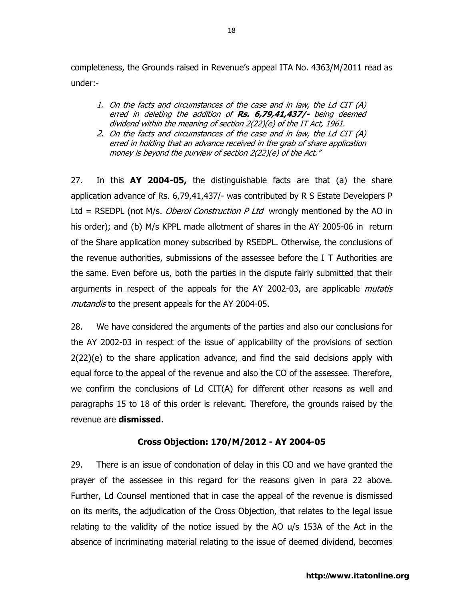completeness, the Grounds raised in Revenue's appeal ITA No. 4363/M/2011 read as under:-

- 1. On the facts and circumstances of the case and in law, the Ld CIT (A) erred in deleting the addition of Rs. 6,79,41,437/- being deemed dividend within the meaning of section 2(22)(e) of the IT Act, 1961.
- 2. On the facts and circumstances of the case and in law, the Ld CIT (A) erred in holding that an advance received in the grab of share application money is beyond the purview of section 2(22)(e) of the Act."

27. In this  $AY$  2004-05, the distinguishable facts are that (a) the share application advance of Rs. 6,79,41,437/- was contributed by R S Estate Developers P Ltd = RSEDPL (not M/s. *Oberoi Construction P Ltd* wrongly mentioned by the AO in his order); and (b) M/s KPPL made allotment of shares in the AY 2005-06 in return of the Share application money subscribed by RSEDPL. Otherwise, the conclusions of the revenue authorities, submissions of the assessee before the I T Authorities are the same. Even before us, both the parties in the dispute fairly submitted that their arguments in respect of the appeals for the AY 2002-03, are applicable *mutatis* mutand is to the present appeals for the AY 2004-05.

28. We have considered the arguments of the parties and also our conclusions for the AY 2002-03 in respect of the issue of applicability of the provisions of section 2(22)(e) to the share application advance, and find the said decisions apply with equal force to the appeal of the revenue and also the CO of the assessee. Therefore, we confirm the conclusions of Ld CIT(A) for different other reasons as well and paragraphs 15 to 18 of this order is relevant. Therefore, the grounds raised by the revenue are **dismissed**.

# Cross Objection: 170/M/2012 - AY 2004-05

29. There is an issue of condonation of delay in this CO and we have granted the prayer of the assessee in this regard for the reasons given in para 22 above. Further, Ld Counsel mentioned that in case the appeal of the revenue is dismissed on its merits, the adjudication of the Cross Objection, that relates to the legal issue relating to the validity of the notice issued by the AO u/s 153A of the Act in the absence of incriminating material relating to the issue of deemed dividend, becomes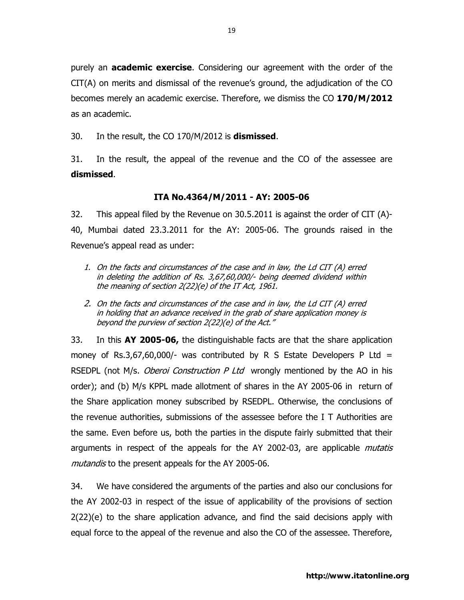purely an **academic exercise**. Considering our agreement with the order of the CIT(A) on merits and dismissal of the revenue's ground, the adjudication of the CO becomes merely an academic exercise. Therefore, we dismiss the CO 170/M/2012 as an academic.

30. In the result, the CO 170/M/2012 is **dismissed**.

31. In the result, the appeal of the revenue and the CO of the assessee are dismissed.

#### ITA No.4364/M/2011 - AY: 2005-06

32. This appeal filed by the Revenue on 30.5.2011 is against the order of CIT (A)- 40, Mumbai dated 23.3.2011 for the AY: 2005-06. The grounds raised in the Revenue's appeal read as under:

- 1. On the facts and circumstances of the case and in law, the Ld CIT (A) erred in deleting the addition of Rs. 3,67,60,000/- being deemed dividend within the meaning of section 2(22)(e) of the IT Act, 1961.
- 2. On the facts and circumstances of the case and in law, the Ld CIT (A) erred in holding that an advance received in the grab of share application money is beyond the purview of section 2(22)(e) of the Act."

33. In this AY 2005-06, the distinguishable facts are that the share application money of Rs.3,67,60,000/- was contributed by R S Estate Developers P Ltd  $=$ RSEDPL (not M/s. Oberoi Construction P Ltd wrongly mentioned by the AO in his order); and (b) M/s KPPL made allotment of shares in the AY 2005-06 in return of the Share application money subscribed by RSEDPL. Otherwise, the conclusions of the revenue authorities, submissions of the assessee before the I T Authorities are the same. Even before us, both the parties in the dispute fairly submitted that their arguments in respect of the appeals for the AY 2002-03, are applicable *mutatis* mutand is to the present appeals for the AY 2005-06.

34. We have considered the arguments of the parties and also our conclusions for the AY 2002-03 in respect of the issue of applicability of the provisions of section 2(22)(e) to the share application advance, and find the said decisions apply with equal force to the appeal of the revenue and also the CO of the assessee. Therefore,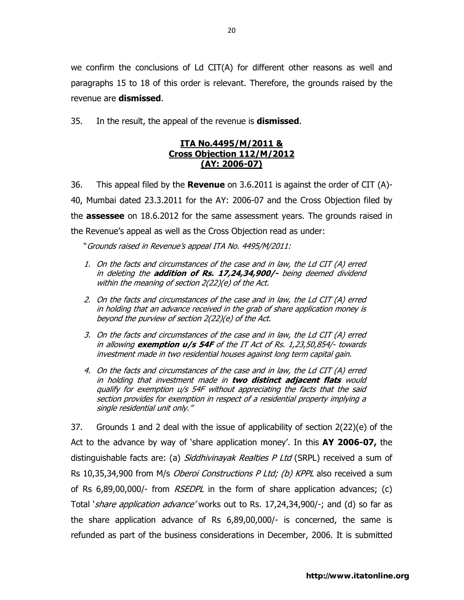we confirm the conclusions of Ld CIT(A) for different other reasons as well and paragraphs 15 to 18 of this order is relevant. Therefore, the grounds raised by the revenue are dismissed.

35. In the result, the appeal of the revenue is **dismissed**.

## ITA No.4495/M/2011 & Cross Objection 112/M/2012 (AY: 2006-07)

36. This appeal filed by the **Revenue** on 3.6.2011 is against the order of CIT (A)-40, Mumbai dated 23.3.2011 for the AY: 2006-07 and the Cross Objection filed by the **assessee** on 18.6.2012 for the same assessment years. The grounds raised in the Revenue's appeal as well as the Cross Objection read as under:

"Grounds raised in Revenue's appeal ITA No. 4495/M/2011:

- 1. On the facts and circumstances of the case and in law, the Ld CIT (A) erred in deleting the **addition of Rs. 17,24,34,900/-** being deemed dividend within the meaning of section 2(22)(e) of the Act.
- 2. On the facts and circumstances of the case and in law, the Ld CIT (A) erred in holding that an advance received in the grab of share application money is beyond the purview of section 2(22)(e) of the Act.
- 3. On the facts and circumstances of the case and in law, the Ld CIT (A) erred in allowing **exemption**  $u/s$  **54F** of the IT Act of Rs.  $1,23,50,854/$ - towards investment made in two residential houses against long term capital gain.
- 4. On the facts and circumstances of the case and in law, the Ld CIT (A) erred in holding that investment made in two distinct adjacent flats would qualify for exemption u/s 54F without appreciating the facts that the said section provides for exemption in respect of a residential property implying a single residential unit only."

37. Grounds 1 and 2 deal with the issue of applicability of section 2(22)(e) of the Act to the advance by way of 'share application money'. In this AY 2006-07, the distinguishable facts are: (a) Siddhivinayak Realties P Ltd (SRPL) received a sum of Rs 10,35,34,900 from M/s Oberoi Constructions P Ltd; (b) KPPL also received a sum of Rs  $6,89,00,000$ /- from  $RSEDPL$  in the form of share application advances; (c) Total *`share application advance'* works out to Rs. 17,24,34,900/-; and (d) so far as the share application advance of Rs 6,89,00,000/- is concerned, the same is refunded as part of the business considerations in December, 2006. It is submitted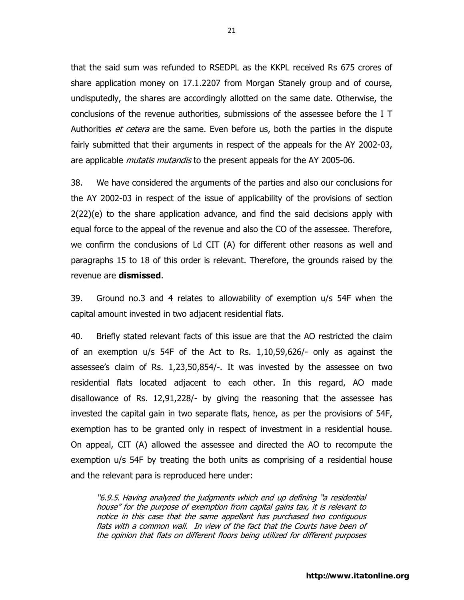that the said sum was refunded to RSEDPL as the KKPL received Rs 675 crores of share application money on 17.1.2207 from Morgan Stanely group and of course, undisputedly, the shares are accordingly allotted on the same date. Otherwise, the conclusions of the revenue authorities, submissions of the assessee before the I T Authorities *et cetera* are the same. Even before us, both the parties in the dispute fairly submitted that their arguments in respect of the appeals for the AY 2002-03, are applicable *mutatis mutandis* to the present appeals for the AY 2005-06.

38. We have considered the arguments of the parties and also our conclusions for the AY 2002-03 in respect of the issue of applicability of the provisions of section 2(22)(e) to the share application advance, and find the said decisions apply with equal force to the appeal of the revenue and also the CO of the assessee. Therefore, we confirm the conclusions of Ld CIT (A) for different other reasons as well and paragraphs 15 to 18 of this order is relevant. Therefore, the grounds raised by the revenue are dismissed.

39. Ground no.3 and 4 relates to allowability of exemption u/s 54F when the capital amount invested in two adjacent residential flats.

40. Briefly stated relevant facts of this issue are that the AO restricted the claim of an exemption u/s 54F of the Act to Rs. 1,10,59,626/- only as against the assessee's claim of Rs. 1,23,50,854/-. It was invested by the assessee on two residential flats located adjacent to each other. In this regard, AO made disallowance of Rs. 12,91,228/- by giving the reasoning that the assessee has invested the capital gain in two separate flats, hence, as per the provisions of 54F, exemption has to be granted only in respect of investment in a residential house. On appeal, CIT (A) allowed the assessee and directed the AO to recompute the exemption u/s 54F by treating the both units as comprising of a residential house and the relevant para is reproduced here under:

"6.9.5. Having analyzed the judgments which end up defining "a residential house" for the purpose of exemption from capital gains tax, it is relevant to notice in this case that the same appellant has purchased two contiguous flats with a common wall. In view of the fact that the Courts have been of the opinion that flats on different floors being utilized for different purposes

21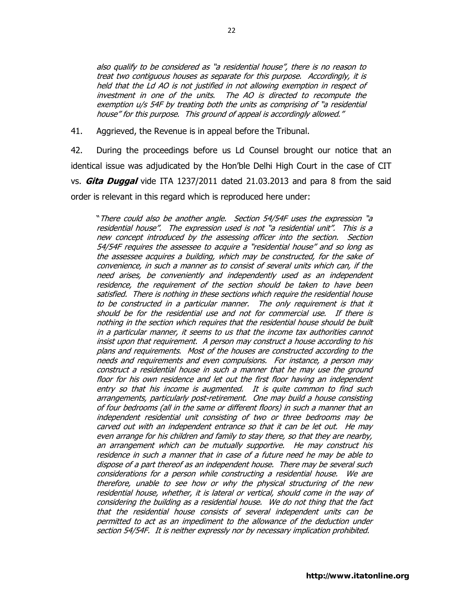also qualify to be considered as "a residential house", there is no reason to treat two contiguous houses as separate for this purpose. Accordingly, it is held that the Ld AO is not justified in not allowing exemption in respect of investment in one of the units. The AO is directed to recompute the exemption u/s 54F by treating both the units as comprising of "a residential house" for this purpose. This ground of appeal is accordingly allowed."

41. Aggrieved, the Revenue is in appeal before the Tribunal.

42. During the proceedings before us Ld Counsel brought our notice that an identical issue was adjudicated by the Hon'ble Delhi High Court in the case of CIT vs. **Gita Duggal** vide ITA 1237/2011 dated 21.03.2013 and para 8 from the said order is relevant in this regard which is reproduced here under:

"There could also be another angle. Section 54/54F uses the expression "a residential house". The expression used is not "a residential unit". This is a new concept introduced by the assessing officer into the section. Section 54/54F requires the assessee to acquire a "residential house" and so long as the assessee acquires a building, which may be constructed, for the sake of convenience, in such a manner as to consist of several units which can, if the need arises, be conveniently and independently used as an independent residence, the requirement of the section should be taken to have been satisfied. There is nothing in these sections which require the residential house to be constructed in a particular manner. The only requirement is that it should be for the residential use and not for commercial use. If there is nothing in the section which requires that the residential house should be built in a particular manner, it seems to us that the income tax authorities cannot insist upon that requirement. A person may construct a house according to his plans and requirements. Most of the houses are constructed according to the needs and requirements and even compulsions. For instance, a person may construct a residential house in such a manner that he may use the ground floor for his own residence and let out the first floor having an independent entry so that his income is augmented. It is quite common to find such arrangements, particularly post-retirement. One may build a house consisting of four bedrooms (all in the same or different floors) in such a manner that an independent residential unit consisting of two or three bedrooms may be carved out with an independent entrance so that it can be let out. He may even arrange for his children and family to stay there, so that they are nearby, an arrangement which can be mutually supportive. He may construct his residence in such a manner that in case of a future need he may be able to dispose of a part thereof as an independent house. There may be several such considerations for a person while constructing a residential house. We are therefore, unable to see how or why the physical structuring of the new residential house, whether, it is lateral or vertical, should come in the way of considering the building as a residential house. We do not thing that the fact that the residential house consists of several independent units can be permitted to act as an impediment to the allowance of the deduction under section 54/54F. It is neither expressly nor by necessary implication prohibited.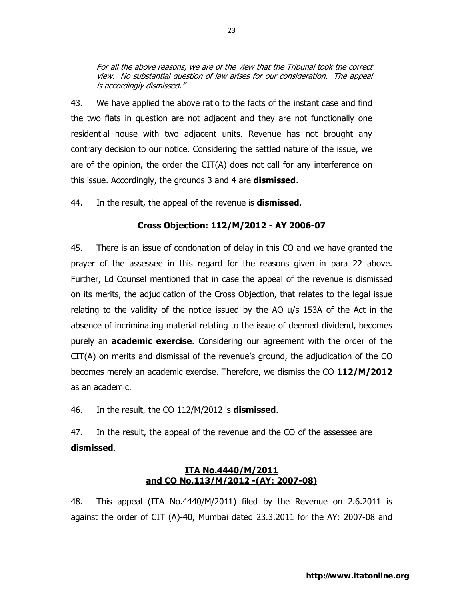For all the above reasons, we are of the view that the Tribunal took the correct view. No substantial question of law arises for our consideration. The appeal is accordingly dismissed."

43. We have applied the above ratio to the facts of the instant case and find the two flats in question are not adjacent and they are not functionally one residential house with two adjacent units. Revenue has not brought any contrary decision to our notice. Considering the settled nature of the issue, we are of the opinion, the order the CIT(A) does not call for any interference on this issue. Accordingly, the grounds 3 and 4 are **dismissed**.

44. In the result, the appeal of the revenue is **dismissed**.

## Cross Objection: 112/M/2012 - AY 2006-07

45. There is an issue of condonation of delay in this CO and we have granted the prayer of the assessee in this regard for the reasons given in para 22 above. Further, Ld Counsel mentioned that in case the appeal of the revenue is dismissed on its merits, the adjudication of the Cross Objection, that relates to the legal issue relating to the validity of the notice issued by the AO u/s 153A of the Act in the absence of incriminating material relating to the issue of deemed dividend, becomes purely an **academic exercise**. Considering our agreement with the order of the CIT(A) on merits and dismissal of the revenue's ground, the adjudication of the CO becomes merely an academic exercise. Therefore, we dismiss the CO 112/M/2012 as an academic.

46. In the result, the CO 112/M/2012 is **dismissed**.

47. In the result, the appeal of the revenue and the CO of the assessee are dismissed.

## ITA No.4440/M/2011 and CO No.113/M/2012 -(AY: 2007-08)

48. This appeal (ITA No.4440/M/2011) filed by the Revenue on 2.6.2011 is against the order of CIT (A)-40, Mumbai dated 23.3.2011 for the AY: 2007-08 and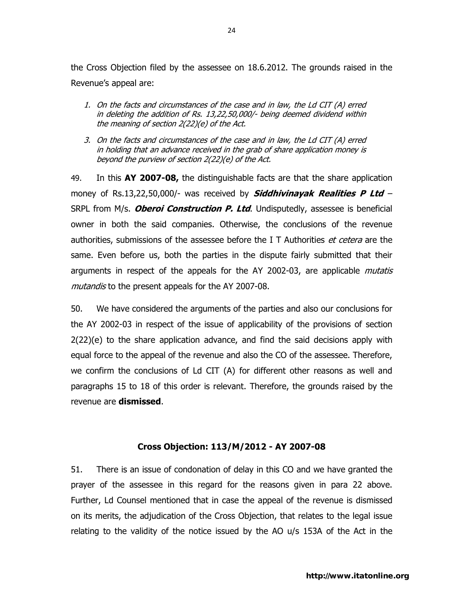the Cross Objection filed by the assessee on 18.6.2012. The grounds raised in the Revenue's appeal are:

- 1. On the facts and circumstances of the case and in law, the Ld CIT (A) erred in deleting the addition of Rs. 13,22,50,000/- being deemed dividend within the meaning of section 2(22)(e) of the Act.
- 3. On the facts and circumstances of the case and in law, the Ld CIT (A) erred in holding that an advance received in the grab of share application money is beyond the purview of section 2(22)(e) of the Act.

49. In this AY 2007-08, the distinguishable facts are that the share application money of Rs.13,22,50,000/- was received by **Siddhivinayak Realities P Ltd** – SRPL from M/s. *Oberoi Construction P. Ltd*. Undisputedly, assessee is beneficial owner in both the said companies. Otherwise, the conclusions of the revenue authorities, submissions of the assessee before the I T Authorities *et cetera* are the same. Even before us, both the parties in the dispute fairly submitted that their arguments in respect of the appeals for the AY 2002-03, are applicable *mutatis* mutand is to the present appeals for the AY 2007-08.

50. We have considered the arguments of the parties and also our conclusions for the AY 2002-03 in respect of the issue of applicability of the provisions of section 2(22)(e) to the share application advance, and find the said decisions apply with equal force to the appeal of the revenue and also the CO of the assessee. Therefore, we confirm the conclusions of Ld CIT (A) for different other reasons as well and paragraphs 15 to 18 of this order is relevant. Therefore, the grounds raised by the revenue are dismissed.

## Cross Objection: 113/M/2012 - AY 2007-08

51. There is an issue of condonation of delay in this CO and we have granted the prayer of the assessee in this regard for the reasons given in para 22 above. Further, Ld Counsel mentioned that in case the appeal of the revenue is dismissed on its merits, the adjudication of the Cross Objection, that relates to the legal issue relating to the validity of the notice issued by the AO u/s 153A of the Act in the